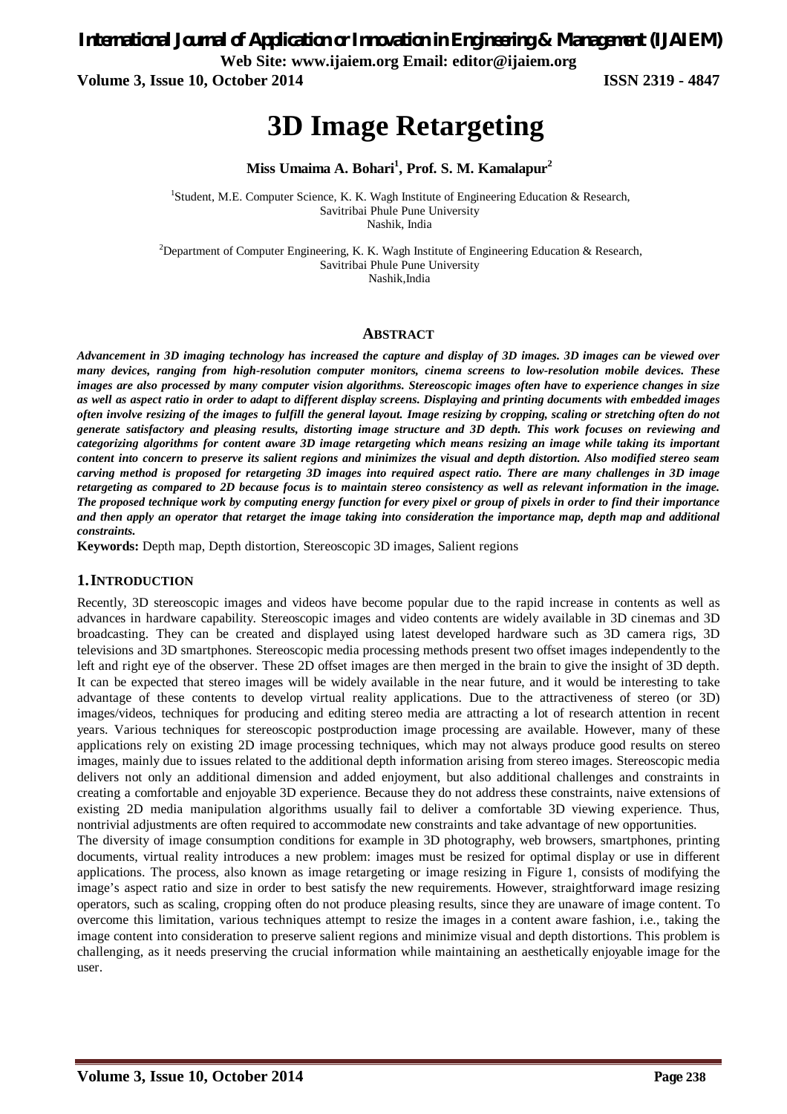*International Journal of Application or Innovation in Engineering & Management (IJAIEM)*

**Web Site: www.ijaiem.org Email: editor@ijaiem.org**

**Volume 3, Issue 10, October 2014 ISSN 2319 - 4847**

# **3D Image Retargeting**

**Miss Umaima A. Bohari<sup>1</sup> , Prof. S. M. Kamalapur<sup>2</sup>**

<sup>1</sup>Student, M.E. Computer Science, K. K. Wagh Institute of Engineering Education & Research, Savitribai Phule Pune University Nashik, India

<sup>2</sup>Department of Computer Engineering, K. K. Wagh Institute of Engineering Education & Research, Savitribai Phule Pune University Nashik,India

### **ABSTRACT**

*Advancement in 3D imaging technology has increased the capture and display of 3D images. 3D images can be viewed over many devices, ranging from high-resolution computer monitors, cinema screens to low-resolution mobile devices. These images are also processed by many computer vision algorithms. Stereoscopic images often have to experience changes in size as well as aspect ratio in order to adapt to different display screens. Displaying and printing documents with embedded images often involve resizing of the images to fulfill the general layout. Image resizing by cropping, scaling or stretching often do not generate satisfactory and pleasing results, distorting image structure and 3D depth. This work focuses on reviewing and categorizing algorithms for content aware 3D image retargeting which means resizing an image while taking its important content into concern to preserve its salient regions and minimizes the visual and depth distortion. Also modified stereo seam carving method is proposed for retargeting 3D images into required aspect ratio. There are many challenges in 3D image retargeting as compared to 2D because focus is to maintain stereo consistency as well as relevant information in the image. The proposed technique work by computing energy function for every pixel or group of pixels in order to find their importance*  and then apply an operator that retarget the image taking into consideration the importance map, depth map and additional *constraints.*

**Keywords:** Depth map, Depth distortion, Stereoscopic 3D images, Salient regions

### **1.INTRODUCTION**

Recently, 3D stereoscopic images and videos have become popular due to the rapid increase in contents as well as advances in hardware capability. Stereoscopic images and video contents are widely available in 3D cinemas and 3D broadcasting. They can be created and displayed using latest developed hardware such as 3D camera rigs, 3D televisions and 3D smartphones. Stereoscopic media processing methods present two offset images independently to the left and right eye of the observer. These 2D offset images are then merged in the brain to give the insight of 3D depth. It can be expected that stereo images will be widely available in the near future, and it would be interesting to take advantage of these contents to develop virtual reality applications. Due to the attractiveness of stereo (or 3D) images/videos, techniques for producing and editing stereo media are attracting a lot of research attention in recent years. Various techniques for stereoscopic postproduction image processing are available. However, many of these applications rely on existing 2D image processing techniques, which may not always produce good results on stereo images, mainly due to issues related to the additional depth information arising from stereo images. Stereoscopic media delivers not only an additional dimension and added enjoyment, but also additional challenges and constraints in creating a comfortable and enjoyable 3D experience. Because they do not address these constraints, naive extensions of existing 2D media manipulation algorithms usually fail to deliver a comfortable 3D viewing experience. Thus, nontrivial adjustments are often required to accommodate new constraints and take advantage of new opportunities.

The diversity of image consumption conditions for example in 3D photography, web browsers, smartphones, printing documents, virtual reality introduces a new problem: images must be resized for optimal display or use in different applications. The process, also known as image retargeting or image resizing in Figure 1, consists of modifying the image's aspect ratio and size in order to best satisfy the new requirements. However, straightforward image resizing operators, such as scaling, cropping often do not produce pleasing results, since they are unaware of image content. To overcome this limitation, various techniques attempt to resize the images in a content aware fashion, i.e., taking the image content into consideration to preserve salient regions and minimize visual and depth distortions. This problem is challenging, as it needs preserving the crucial information while maintaining an aesthetically enjoyable image for the user.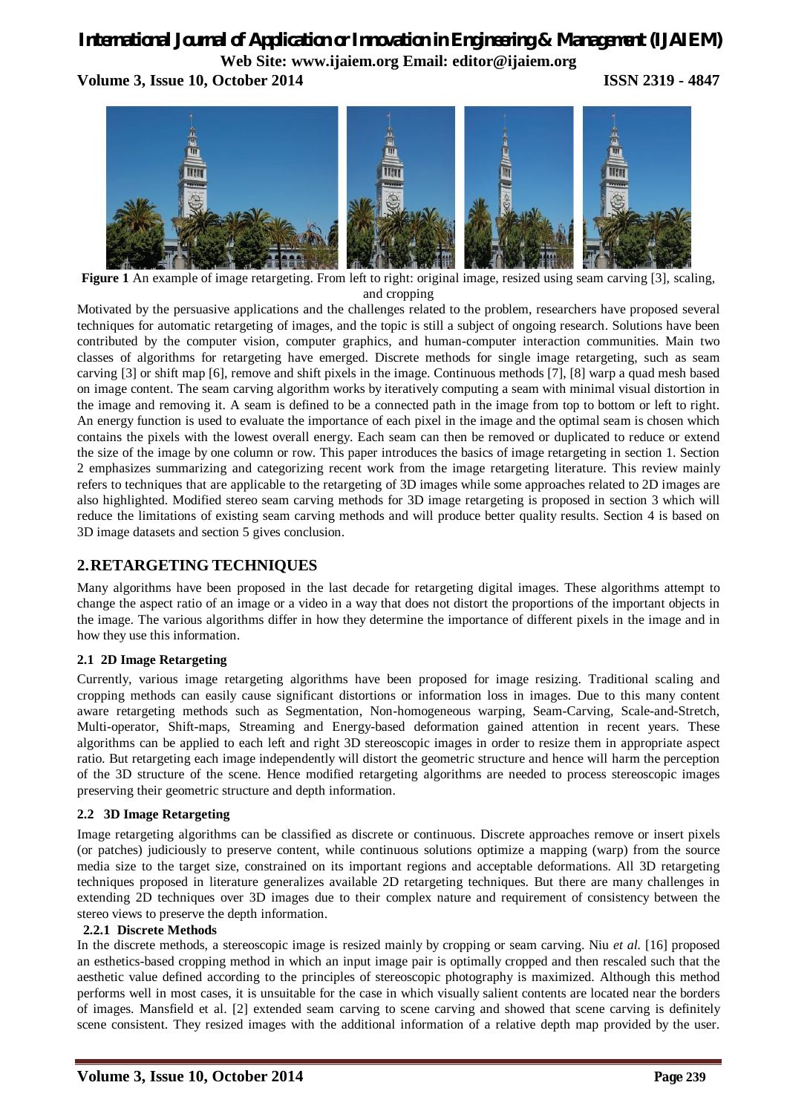# *International Journal of Application or Innovation in Engineering & Management (IJAIEM)*

**Web Site: www.ijaiem.org Email: editor@ijaiem.org**

**Volume 3, Issue 10, October 2014 ISSN 2319 - 4847**



**Figure 1** An example of image retargeting. From left to right: original image, resized using seam carving [3], scaling, and cropping

Motivated by the persuasive applications and the challenges related to the problem, researchers have proposed several techniques for automatic retargeting of images, and the topic is still a subject of ongoing research. Solutions have been contributed by the computer vision, computer graphics, and human-computer interaction communities. Main two classes of algorithms for retargeting have emerged. Discrete methods for single image retargeting, such as seam carving [3] or shift map [6], remove and shift pixels in the image. Continuous methods [7], [8] warp a quad mesh based on image content. The seam carving algorithm works by iteratively computing a seam with minimal visual distortion in the image and removing it. A seam is defined to be a connected path in the image from top to bottom or left to right. An energy function is used to evaluate the importance of each pixel in the image and the optimal seam is chosen which contains the pixels with the lowest overall energy. Each seam can then be removed or duplicated to reduce or extend the size of the image by one column or row. This paper introduces the basics of image retargeting in section 1. Section 2 emphasizes summarizing and categorizing recent work from the image retargeting literature. This review mainly refers to techniques that are applicable to the retargeting of 3D images while some approaches related to 2D images are also highlighted. Modified stereo seam carving methods for 3D image retargeting is proposed in section 3 which will reduce the limitations of existing seam carving methods and will produce better quality results. Section 4 is based on 3D image datasets and section 5 gives conclusion.

## **2.RETARGETING TECHNIQUES**

Many algorithms have been proposed in the last decade for retargeting digital images. These algorithms attempt to change the aspect ratio of an image or a video in a way that does not distort the proportions of the important objects in the image. The various algorithms differ in how they determine the importance of different pixels in the image and in how they use this information.

### **2.1 2D Image Retargeting**

Currently, various image retargeting algorithms have been proposed for image resizing. Traditional scaling and cropping methods can easily cause significant distortions or information loss in images. Due to this many content aware retargeting methods such as Segmentation, Non-homogeneous warping, Seam-Carving, Scale-and-Stretch, Multi-operator, Shift-maps, Streaming and Energy-based deformation gained attention in recent years. These algorithms can be applied to each left and right 3D stereoscopic images in order to resize them in appropriate aspect ratio. But retargeting each image independently will distort the geometric structure and hence will harm the perception of the 3D structure of the scene. Hence modified retargeting algorithms are needed to process stereoscopic images preserving their geometric structure and depth information.

### **2.2 3D Image Retargeting**

Image retargeting algorithms can be classified as discrete or continuous. Discrete approaches remove or insert pixels (or patches) judiciously to preserve content, while continuous solutions optimize a mapping (warp) from the source media size to the target size, constrained on its important regions and acceptable deformations. All 3D retargeting techniques proposed in literature generalizes available 2D retargeting techniques. But there are many challenges in extending 2D techniques over 3D images due to their complex nature and requirement of consistency between the stereo views to preserve the depth information.

### **2.2.1 Discrete Methods**

In the discrete methods, a stereoscopic image is resized mainly by cropping or seam carving. Niu *et al.* [16] proposed an esthetics-based cropping method in which an input image pair is optimally cropped and then rescaled such that the aesthetic value defined according to the principles of stereoscopic photography is maximized. Although this method performs well in most cases, it is unsuitable for the case in which visually salient contents are located near the borders of images. Mansfield et al. [2] extended seam carving to scene carving and showed that scene carving is definitely scene consistent. They resized images with the additional information of a relative depth map provided by the user.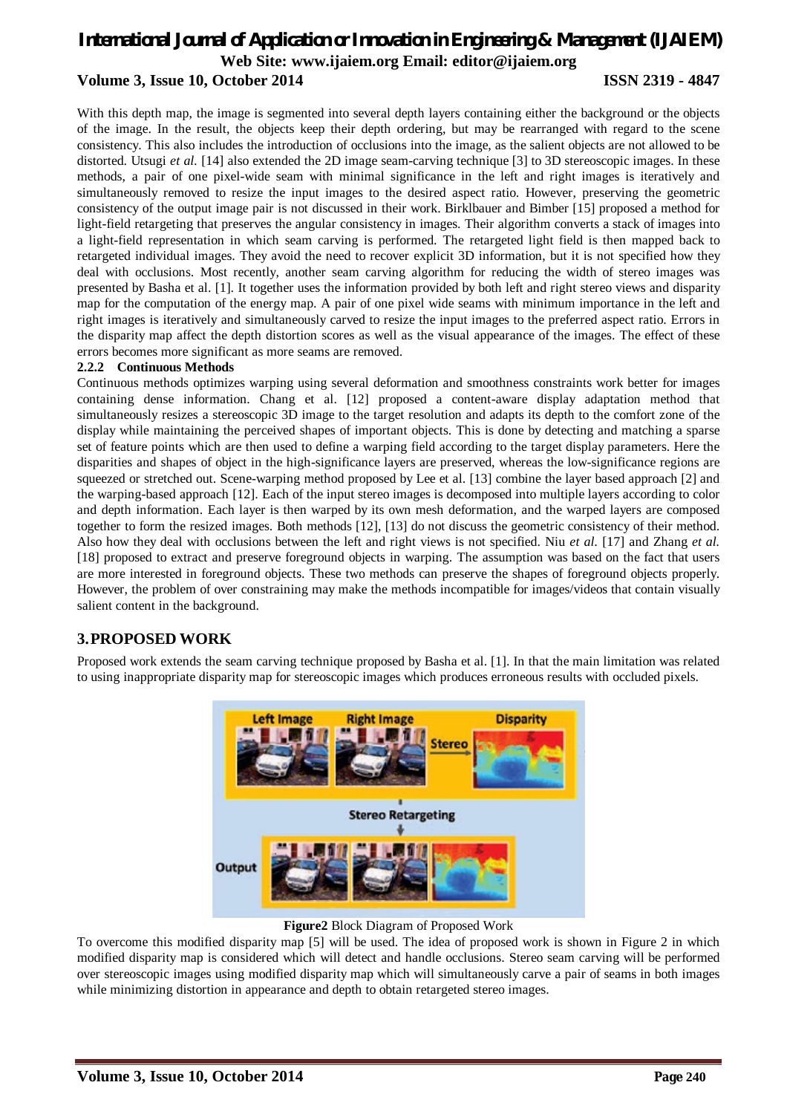## *International Journal of Application or Innovation in Engineering & Management (IJAIEM)* **Web Site: www.ijaiem.org Email: editor@ijaiem.org Volume 3, Issue 10, October 2014 ISSN 2319 - 4847**

With this depth map, the image is segmented into several depth layers containing either the background or the objects of the image. In the result, the objects keep their depth ordering, but may be rearranged with regard to the scene consistency. This also includes the introduction of occlusions into the image, as the salient objects are not allowed to be distorted. Utsugi *et al.* [14] also extended the 2D image seam-carving technique [3] to 3D stereoscopic images. In these methods, a pair of one pixel-wide seam with minimal significance in the left and right images is iteratively and simultaneously removed to resize the input images to the desired aspect ratio. However, preserving the geometric consistency of the output image pair is not discussed in their work. Birklbauer and Bimber [15] proposed a method for light-field retargeting that preserves the angular consistency in images. Their algorithm converts a stack of images into a light-field representation in which seam carving is performed. The retargeted light field is then mapped back to retargeted individual images. They avoid the need to recover explicit 3D information, but it is not specified how they deal with occlusions. Most recently, another seam carving algorithm for reducing the width of stereo images was presented by Basha et al. [1]. It together uses the information provided by both left and right stereo views and disparity map for the computation of the energy map. A pair of one pixel wide seams with minimum importance in the left and right images is iteratively and simultaneously carved to resize the input images to the preferred aspect ratio. Errors in the disparity map affect the depth distortion scores as well as the visual appearance of the images. The effect of these errors becomes more significant as more seams are removed.

### **2.2.2 Continuous Methods**

Continuous methods optimizes warping using several deformation and smoothness constraints work better for images containing dense information. Chang et al. [12] proposed a content-aware display adaptation method that simultaneously resizes a stereoscopic 3D image to the target resolution and adapts its depth to the comfort zone of the display while maintaining the perceived shapes of important objects. This is done by detecting and matching a sparse set of feature points which are then used to define a warping field according to the target display parameters. Here the disparities and shapes of object in the high-significance layers are preserved, whereas the low-significance regions are squeezed or stretched out. Scene-warping method proposed by Lee et al. [13] combine the layer based approach [2] and the warping-based approach [12]. Each of the input stereo images is decomposed into multiple layers according to color and depth information. Each layer is then warped by its own mesh deformation, and the warped layers are composed together to form the resized images. Both methods [12], [13] do not discuss the geometric consistency of their method. Also how they deal with occlusions between the left and right views is not specified. Niu *et al.* [17] and Zhang *et al.*  [18] proposed to extract and preserve foreground objects in warping. The assumption was based on the fact that users are more interested in foreground objects. These two methods can preserve the shapes of foreground objects properly. However, the problem of over constraining may make the methods incompatible for images/videos that contain visually salient content in the background.

## **3.PROPOSED WORK**

Proposed work extends the seam carving technique proposed by Basha et al. [1]. In that the main limitation was related to using inappropriate disparity map for stereoscopic images which produces erroneous results with occluded pixels.





To overcome this modified disparity map [5] will be used. The idea of proposed work is shown in Figure 2 in which modified disparity map is considered which will detect and handle occlusions. Stereo seam carving will be performed over stereoscopic images using modified disparity map which will simultaneously carve a pair of seams in both images while minimizing distortion in appearance and depth to obtain retargeted stereo images.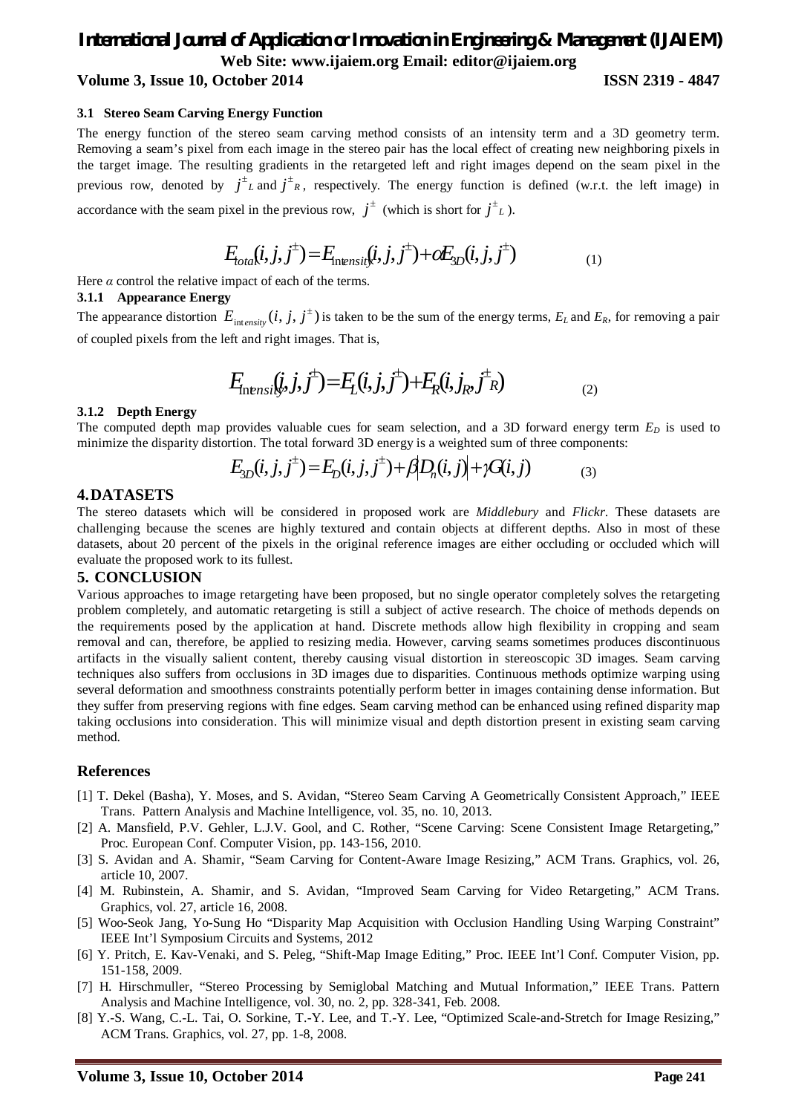# *International Journal of Application or Innovation in Engineering & Management (IJAIEM)* **Web Site: www.ijaiem.org Email: editor@ijaiem.org**

# **Volume 3, Issue 10, October 2014 ISSN 2319 - 4847**

#### **3.1 Stereo Seam Carving Energy Function**

The energy function of the stereo seam carving method consists of an intensity term and a 3D geometry term. Removing a seam's pixel from each image in the stereo pair has the local effect of creating new neighboring pixels in the target image. The resulting gradients in the retargeted left and right images depend on the seam pixel in the previous row, denoted by  $j^{\pm}$  and  $j^{\pm}$  *R*, respectively. The energy function is defined (w.r.t. the left image) in accordance with the seam pixel in the previous row,  $j^{\pm}$  (which is short for  $j^{\pm}$ ).

$$
F_{\text{total}}(i,j,j^{\pm}) = F_{\text{intensity}}(i,j,j^{\pm}) + \alpha F_{\text{3D}}(i,j,j^{\pm}) \tag{1}
$$

Here  $\alpha$  control the relative impact of each of the terms.

### **3.1.1 Appearance Energy**

The appearance distortion  $E_{\text{intensity}}(i, j, j^{\pm})$  is taken to be the sum of the energy terms,  $E_L$  and  $E_R$ , for removing a pair of coupled pixels from the left and right images. That is,

$$
F_{\text{intensity}}(j, j, j^{+}) = F_{L}(i, j, j^{+}) + F_{R}(i, j_{R}, j^{+}_{R})
$$
\n(2)

#### **3.1.2 Depth Energy**

The computed depth map provides valuable cues for seam selection, and a 3D forward energy term  $E<sub>D</sub>$  is used to minimize the disparity distortion. The total forward 3D energy is a weighted sum of three components:

$$
E_{3D}(i, j, j^{\pm}) = E_D(i, j, j^{\pm}) + \beta |D_n(i, j)| + \gamma G(i, j)
$$
 (3)

### **4.DATASETS**

The stereo datasets which will be considered in proposed work are *Middlebury* and *Flickr*. These datasets are challenging because the scenes are highly textured and contain objects at different depths. Also in most of these datasets, about 20 percent of the pixels in the original reference images are either occluding or occluded which will evaluate the proposed work to its fullest.

### **5. CONCLUSION**

Various approaches to image retargeting have been proposed, but no single operator completely solves the retargeting problem completely, and automatic retargeting is still a subject of active research. The choice of methods depends on the requirements posed by the application at hand. Discrete methods allow high flexibility in cropping and seam removal and can, therefore, be applied to resizing media. However, carving seams sometimes produces discontinuous artifacts in the visually salient content, thereby causing visual distortion in stereoscopic 3D images. Seam carving techniques also suffers from occlusions in 3D images due to disparities. Continuous methods optimize warping using several deformation and smoothness constraints potentially perform better in images containing dense information. But they suffer from preserving regions with fine edges. Seam carving method can be enhanced using refined disparity map taking occlusions into consideration. This will minimize visual and depth distortion present in existing seam carving method.

### **References**

- [1] T. Dekel (Basha), Y. Moses, and S. Avidan, "Stereo Seam Carving A Geometrically Consistent Approach," IEEE Trans. Pattern Analysis and Machine Intelligence, vol. 35, no. 10, 2013.
- [2] A. Mansfield, P.V. Gehler, L.J.V. Gool, and C. Rother, "Scene Carving: Scene Consistent Image Retargeting," Proc. European Conf. Computer Vision, pp. 143-156, 2010.
- [3] S. Avidan and A. Shamir, "Seam Carving for Content-Aware Image Resizing," ACM Trans. Graphics, vol. 26, article 10, 2007.
- [4] M. Rubinstein, A. Shamir, and S. Avidan, "Improved Seam Carving for Video Retargeting," ACM Trans. Graphics, vol. 27, article 16, 2008.
- [5] Woo-Seok Jang, Yo-Sung Ho "Disparity Map Acquisition with Occlusion Handling Using Warping Constraint" IEEE Int'l Symposium Circuits and Systems, 2012
- [6] Y. Pritch, E. Kav-Venaki, and S. Peleg, "Shift-Map Image Editing," Proc. IEEE Int'l Conf. Computer Vision, pp. 151-158, 2009.
- [7] H. Hirschmuller, "Stereo Processing by Semiglobal Matching and Mutual Information," IEEE Trans. Pattern Analysis and Machine Intelligence, vol. 30, no. 2, pp. 328-341, Feb. 2008.
- [8] Y.-S. Wang, C.-L. Tai, O. Sorkine, T.-Y. Lee, and T.-Y. Lee, "Optimized Scale-and-Stretch for Image Resizing," ACM Trans. Graphics, vol. 27, pp. 1-8, 2008.